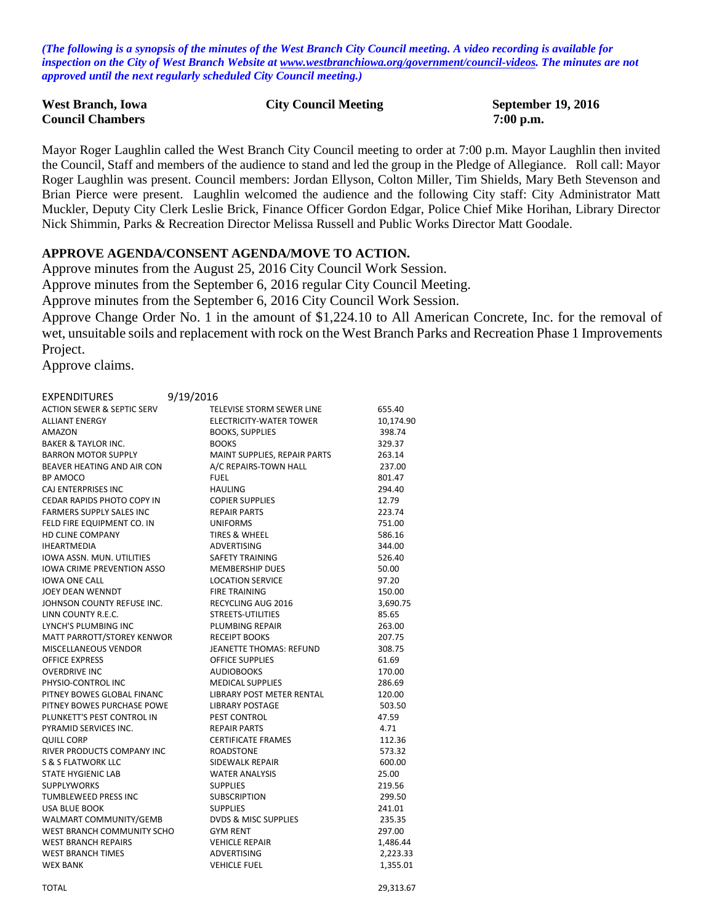*(The following is a synopsis of the minutes of the West Branch City Council meeting. A video recording is available for inspection on the City of West Branch Website at [www.westbranchiowa.org/government/council-videos.](http://www.westbranchiowa.org/government/council-videos) The minutes are not approved until the next regularly scheduled City Council meeting.)*

| <b>West Branch, Iowa</b> | <b>City Council Meeting</b> | <b>September 19, 2016</b> |
|--------------------------|-----------------------------|---------------------------|
| <b>Council Chambers</b>  |                             | $7:00$ p.m.               |

Mayor Roger Laughlin called the West Branch City Council meeting to order at 7:00 p.m. Mayor Laughlin then invited the Council, Staff and members of the audience to stand and led the group in the Pledge of Allegiance. Roll call: Mayor Roger Laughlin was present. Council members: Jordan Ellyson, Colton Miller, Tim Shields, Mary Beth Stevenson and Brian Pierce were present. Laughlin welcomed the audience and the following City staff: City Administrator Matt Muckler, Deputy City Clerk Leslie Brick, Finance Officer Gordon Edgar, Police Chief Mike Horihan, Library Director Nick Shimmin, Parks & Recreation Director Melissa Russell and Public Works Director Matt Goodale.

#### **APPROVE AGENDA/CONSENT AGENDA/MOVE TO ACTION.**

Approve minutes from the August 25, 2016 City Council Work Session.

Approve minutes from the September 6, 2016 regular City Council Meeting.

Approve minutes from the September 6, 2016 City Council Work Session.

Approve Change Order No. 1 in the amount of \$1,224.10 to All American Concrete, Inc. for the removal of wet, unsuitable soils and replacement with rock on the West Branch Parks and Recreation Phase 1 Improvements Project.

Approve claims.

| EXPENDITURES                    | 9/19/2016                      |           |
|---------------------------------|--------------------------------|-----------|
| ACTION SEWER & SEPTIC SERV      | TELEVISE STORM SEWER LINE      | 655.40    |
| ALLIANT ENERGY                  | ELECTRICITY-WATER TOWER        | 10,174.90 |
| AMAZON                          | <b>BOOKS, SUPPLIES</b>         | 398.74    |
| BAKER & TAYLOR INC.             | <b>BOOKS</b>                   | 329.37    |
| BARRON MOTOR SUPPLY             | MAINT SUPPLIES, REPAIR PARTS   | 263.14    |
| BEAVER HEATING AND AIR CON      | A/C REPAIRS-TOWN HALL          | 237.00    |
| BP AMOCO                        | <b>FUEL</b>                    | 801.47    |
| CAJ ENTERPRISES INC             | <b>HAULING</b>                 | 294.40    |
| CEDAR RAPIDS PHOTO COPY IN      | <b>COPIER SUPPLIES</b>         | 12.79     |
| <b>FARMERS SUPPLY SALES INC</b> | <b>REPAIR PARTS</b>            | 223.74    |
| FELD FIRE EQUIPMENT CO. IN      | <b>UNIFORMS</b>                | 751.00    |
| <b>HD CLINE COMPANY</b>         | <b>TIRES &amp; WHEEL</b>       | 586.16    |
| <b>IHEARTMEDIA</b>              | ADVERTISING                    | 344.00    |
| IOWA ASSN. MUN. UTILITIES       | <b>SAFETY TRAINING</b>         | 526.40    |
| IOWA CRIME PREVENTION ASSO      | <b>MEMBERSHIP DUES</b>         | 50.00     |
| <b>IOWA ONE CALL</b>            | <b>LOCATION SERVICE</b>        | 97.20     |
| JOEY DEAN WENNDT                | <b>FIRE TRAINING</b>           | 150.00    |
| JOHNSON COUNTY REFUSE INC.      | RECYCLING AUG 2016             | 3,690.75  |
| LINN COUNTY R.E.C.              | STREETS-UTILITIES              | 85.65     |
| LYNCH'S PLUMBING INC            | PLUMBING REPAIR                | 263.00    |
| MATT PARROTT/STOREY KENWOR      | <b>RECEIPT BOOKS</b>           | 207.75    |
| MISCELLANEOUS VENDOR            | <b>JEANETTE THOMAS: REFUND</b> | 308.75    |
| <b>OFFICE EXPRESS</b>           | <b>OFFICE SUPPLIES</b>         | 61.69     |
| <b>OVERDRIVE INC</b>            | <b>AUDIOBOOKS</b>              | 170.00    |
| PHYSIO-CONTROL INC              | <b>MEDICAL SUPPLIES</b>        | 286.69    |
| PITNEY BOWES GLOBAL FINANC      | LIBRARY POST METER RENTAL      | 120.00    |
| PITNEY BOWES PURCHASE POWE      | <b>LIBRARY POSTAGE</b>         | 503.50    |
| PLUNKETT'S PEST CONTROL IN      | PEST CONTROL                   | 47.59     |
| PYRAMID SERVICES INC.           | <b>REPAIR PARTS</b>            | 4.71      |
| <b>QUILL CORP</b>               | <b>CERTIFICATE FRAMES</b>      | 112.36    |
| RIVER PRODUCTS COMPANY INC      | <b>ROADSTONE</b>               | 573.32    |
| S & S FLATWORK LLC              | <b>SIDEWALK REPAIR</b>         | 600.00    |
| STATE HYGIENIC LAB              | <b>WATER ANALYSIS</b>          | 25.00     |
| SUPPLYWORKS                     | <b>SUPPLIES</b>                | 219.56    |
| TUMBLEWEED PRESS INC            | <b>SUBSCRIPTION</b>            | 299.50    |
| USA BLUE BOOK                   | <b>SUPPLIES</b>                | 241.01    |
| WALMART COMMUNITY/GEMB          | DVDS & MISC SUPPLIES           | 235.35    |
| WEST BRANCH COMMUNITY SCHO      | <b>GYM RENT</b>                | 297.00    |
| <b>WEST BRANCH REPAIRS</b>      | <b>VEHICLE REPAIR</b>          | 1,486.44  |
| <b>WEST BRANCH TIMES</b>        | ADVERTISING                    | 2,223.33  |
| <b>WEX BANK</b>                 | <b>VEHICLE FUEL</b>            | 1,355.01  |
|                                 |                                |           |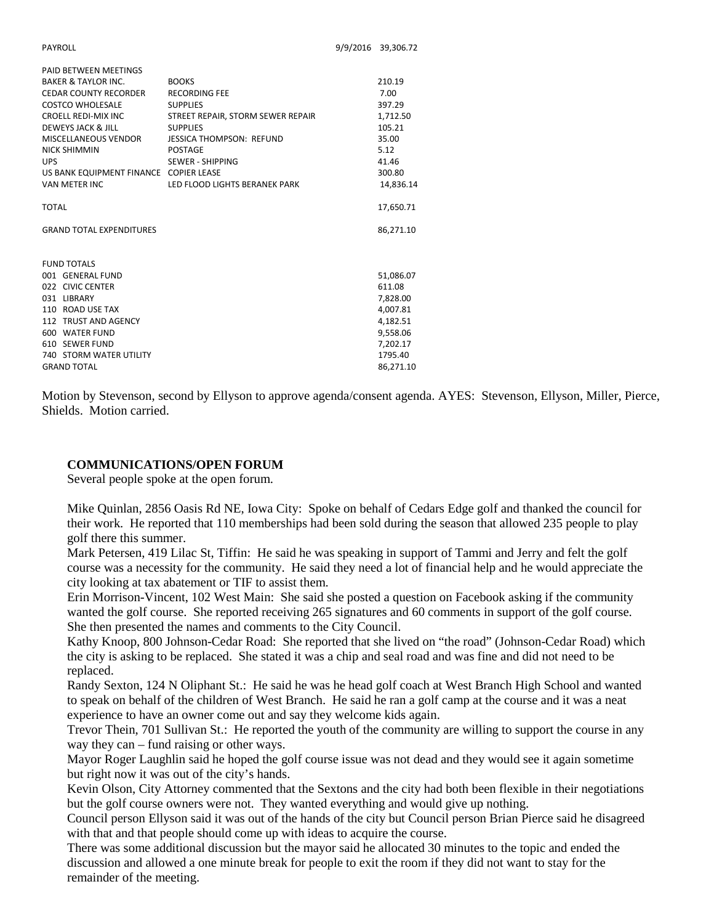PAID BETWEEN MEETINGS

| PAID BETWEEN MEETINGS                  |                                   |           |
|----------------------------------------|-----------------------------------|-----------|
| <b>BAKER &amp; TAYLOR INC.</b>         | <b>BOOKS</b>                      | 210.19    |
| <b>CEDAR COUNTY RECORDER</b>           | <b>RECORDING FEE</b>              | 7.00      |
| COSTCO WHOLESALE                       | <b>SUPPLIES</b>                   | 397.29    |
| CROELL REDI-MIX INC                    | STREET REPAIR, STORM SEWER REPAIR | 1,712.50  |
| DEWEYS JACK & JILL                     | <b>SUPPLIES</b>                   | 105.21    |
| MISCELLANEOUS VENDOR                   | <b>JESSICA THOMPSON: REFUND</b>   | 35.00     |
| <b>NICK SHIMMIN</b>                    | <b>POSTAGE</b>                    | 5.12      |
| <b>UPS</b>                             | SEWER - SHIPPING                  | 41.46     |
| US BANK EQUIPMENT FINANCE COPIER LEASE |                                   | 300.80    |
| <b>VAN METER INC</b>                   | LED FLOOD LIGHTS BERANEK PARK     | 14,836.14 |
| <b>TOTAL</b>                           |                                   | 17,650.71 |
| <b>GRAND TOTAL EXPENDITURES</b>        |                                   | 86,271.10 |
| <b>FUND TOTALS</b>                     |                                   |           |
| 001 GENERAL FUND                       |                                   | 51.086.07 |
| 022 CIVIC CENTER                       |                                   | 611.08    |
| 031 LIBRARY                            |                                   | 7,828.00  |
| 110 ROAD USE TAX                       |                                   | 4,007.81  |
| 112 TRUST AND AGENCY                   |                                   | 4,182.51  |
| 600 WATER FUND                         |                                   | 9.558.06  |
| 610 SEWER FUND                         |                                   | 7,202.17  |
| <b>740 STORM WATER UTILITY</b>         |                                   | 1795.40   |
| <b>GRAND TOTAL</b>                     |                                   | 86.271.10 |

Motion by Stevenson, second by Ellyson to approve agenda/consent agenda. AYES: Stevenson, Ellyson, Miller, Pierce, Shields. Motion carried.

#### **COMMUNICATIONS/OPEN FORUM**

Several people spoke at the open forum.

Mike Quinlan, 2856 Oasis Rd NE, Iowa City: Spoke on behalf of Cedars Edge golf and thanked the council for their work. He reported that 110 memberships had been sold during the season that allowed 235 people to play golf there this summer.

Mark Petersen, 419 Lilac St, Tiffin: He said he was speaking in support of Tammi and Jerry and felt the golf course was a necessity for the community. He said they need a lot of financial help and he would appreciate the city looking at tax abatement or TIF to assist them.

Erin Morrison-Vincent, 102 West Main: She said she posted a question on Facebook asking if the community wanted the golf course. She reported receiving 265 signatures and 60 comments in support of the golf course. She then presented the names and comments to the City Council.

Kathy Knoop, 800 Johnson-Cedar Road: She reported that she lived on "the road" (Johnson-Cedar Road) which the city is asking to be replaced. She stated it was a chip and seal road and was fine and did not need to be replaced.

Randy Sexton, 124 N Oliphant St.: He said he was he head golf coach at West Branch High School and wanted to speak on behalf of the children of West Branch. He said he ran a golf camp at the course and it was a neat experience to have an owner come out and say they welcome kids again.

Trevor Thein, 701 Sullivan St.: He reported the youth of the community are willing to support the course in any way they can – fund raising or other ways.

Mayor Roger Laughlin said he hoped the golf course issue was not dead and they would see it again sometime but right now it was out of the city's hands.

Kevin Olson, City Attorney commented that the Sextons and the city had both been flexible in their negotiations but the golf course owners were not. They wanted everything and would give up nothing.

Council person Ellyson said it was out of the hands of the city but Council person Brian Pierce said he disagreed with that and that people should come up with ideas to acquire the course.

There was some additional discussion but the mayor said he allocated 30 minutes to the topic and ended the discussion and allowed a one minute break for people to exit the room if they did not want to stay for the remainder of the meeting.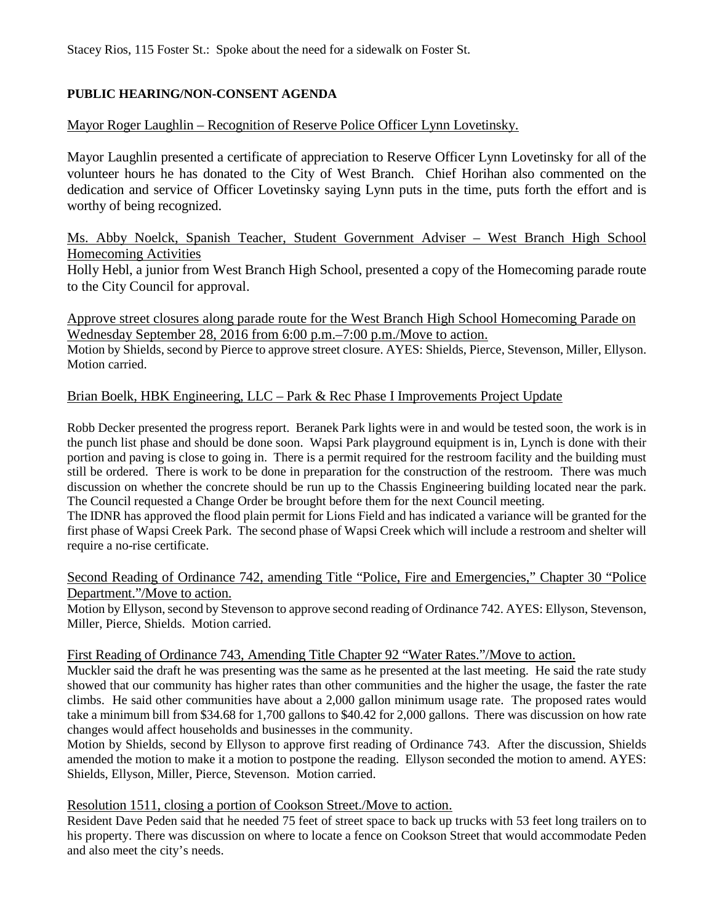Stacey Rios, 115 Foster St.: Spoke about the need for a sidewalk on Foster St.

# **PUBLIC HEARING/NON-CONSENT AGENDA**

# Mayor Roger Laughlin – Recognition of Reserve Police Officer Lynn Lovetinsky.

Mayor Laughlin presented a certificate of appreciation to Reserve Officer Lynn Lovetinsky for all of the volunteer hours he has donated to the City of West Branch. Chief Horihan also commented on the dedication and service of Officer Lovetinsky saying Lynn puts in the time, puts forth the effort and is worthy of being recognized.

# Ms. Abby Noelck, Spanish Teacher, Student Government Adviser – West Branch High School Homecoming Activities

Holly Hebl, a junior from West Branch High School, presented a copy of the Homecoming parade route to the City Council for approval.

# Approve street closures along parade route for the West Branch High School Homecoming Parade on Wednesday September 28, 2016 from 6:00 p.m.–7:00 p.m./Move to action.

Motion by Shields, second by Pierce to approve street closure. AYES: Shields, Pierce, Stevenson, Miller, Ellyson. Motion carried.

# Brian Boelk, HBK Engineering, LLC – Park & Rec Phase I Improvements Project Update

Robb Decker presented the progress report. Beranek Park lights were in and would be tested soon, the work is in the punch list phase and should be done soon. Wapsi Park playground equipment is in, Lynch is done with their portion and paving is close to going in. There is a permit required for the restroom facility and the building must still be ordered. There is work to be done in preparation for the construction of the restroom. There was much discussion on whether the concrete should be run up to the Chassis Engineering building located near the park. The Council requested a Change Order be brought before them for the next Council meeting.

The IDNR has approved the flood plain permit for Lions Field and has indicated a variance will be granted for the first phase of Wapsi Creek Park. The second phase of Wapsi Creek which will include a restroom and shelter will require a no-rise certificate.

### Second Reading of Ordinance 742, amending Title "Police, Fire and Emergencies," Chapter 30 "Police Department."/Move to action.

Motion by Ellyson, second by Stevenson to approve second reading of Ordinance 742. AYES: Ellyson, Stevenson, Miller, Pierce, Shields. Motion carried.

### First Reading of Ordinance 743, Amending Title Chapter 92 "Water Rates."/Move to action.

Muckler said the draft he was presenting was the same as he presented at the last meeting. He said the rate study showed that our community has higher rates than other communities and the higher the usage, the faster the rate climbs. He said other communities have about a 2,000 gallon minimum usage rate. The proposed rates would take a minimum bill from \$34.68 for 1,700 gallons to \$40.42 for 2,000 gallons. There was discussion on how rate changes would affect households and businesses in the community.

Motion by Shields, second by Ellyson to approve first reading of Ordinance 743. After the discussion, Shields amended the motion to make it a motion to postpone the reading. Ellyson seconded the motion to amend. AYES: Shields, Ellyson, Miller, Pierce, Stevenson. Motion carried.

### Resolution 1511, closing a portion of Cookson Street./Move to action.

Resident Dave Peden said that he needed 75 feet of street space to back up trucks with 53 feet long trailers on to his property. There was discussion on where to locate a fence on Cookson Street that would accommodate Peden and also meet the city's needs.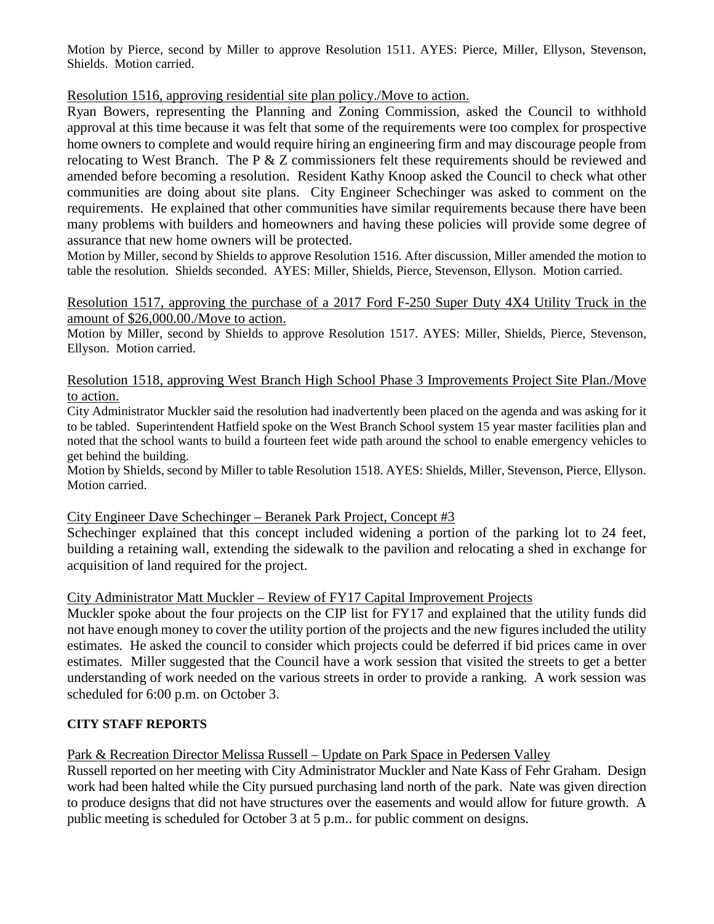Motion by Pierce, second by Miller to approve Resolution 1511. AYES: Pierce, Miller, Ellyson, Stevenson, Shields. Motion carried.

Resolution 1516, approving residential site plan policy./Move to action.

Ryan Bowers, representing the Planning and Zoning Commission, asked the Council to withhold approval at this time because it was felt that some of the requirements were too complex for prospective home owners to complete and would require hiring an engineering firm and may discourage people from relocating to West Branch. The P & Z commissioners felt these requirements should be reviewed and amended before becoming a resolution. Resident Kathy Knoop asked the Council to check what other communities are doing about site plans. City Engineer Schechinger was asked to comment on the requirements. He explained that other communities have similar requirements because there have been many problems with builders and homeowners and having these policies will provide some degree of assurance that new home owners will be protected.

Motion by Miller, second by Shields to approve Resolution 1516. After discussion, Miller amended the motion to table the resolution. Shields seconded. AYES: Miller, Shields, Pierce, Stevenson, Ellyson. Motion carried.

Resolution 1517, approving the purchase of a 2017 Ford F-250 Super Duty 4X4 Utility Truck in the amount of \$26,000.00./Move to action.

Motion by Miller, second by Shields to approve Resolution 1517. AYES: Miller, Shields, Pierce, Stevenson, Ellyson. Motion carried.

Resolution 1518, approving West Branch High School Phase 3 Improvements Project Site Plan./Move to action.

City Administrator Muckler said the resolution had inadvertently been placed on the agenda and was asking for it to be tabled. Superintendent Hatfield spoke on the West Branch School system 15 year master facilities plan and noted that the school wants to build a fourteen feet wide path around the school to enable emergency vehicles to get behind the building.

Motion by Shields, second by Miller to table Resolution 1518. AYES: Shields, Miller, Stevenson, Pierce, Ellyson. Motion carried.

City Engineer Dave Schechinger – Beranek Park Project, Concept #3

Schechinger explained that this concept included widening a portion of the parking lot to 24 feet, building a retaining wall, extending the sidewalk to the pavilion and relocating a shed in exchange for acquisition of land required for the project.

City Administrator Matt Muckler – Review of FY17 Capital Improvement Projects

Muckler spoke about the four projects on the CIP list for FY17 and explained that the utility funds did not have enough money to cover the utility portion of the projects and the new figures included the utility estimates. He asked the council to consider which projects could be deferred if bid prices came in over estimates. Miller suggested that the Council have a work session that visited the streets to get a better understanding of work needed on the various streets in order to provide a ranking. A work session was scheduled for 6:00 p.m. on October 3.

# **CITY STAFF REPORTS**

Park & Recreation Director Melissa Russell – Update on Park Space in Pedersen Valley

Russell reported on her meeting with City Administrator Muckler and Nate Kass of Fehr Graham. Design work had been halted while the City pursued purchasing land north of the park. Nate was given direction to produce designs that did not have structures over the easements and would allow for future growth. A public meeting is scheduled for October 3 at 5 p.m.. for public comment on designs.